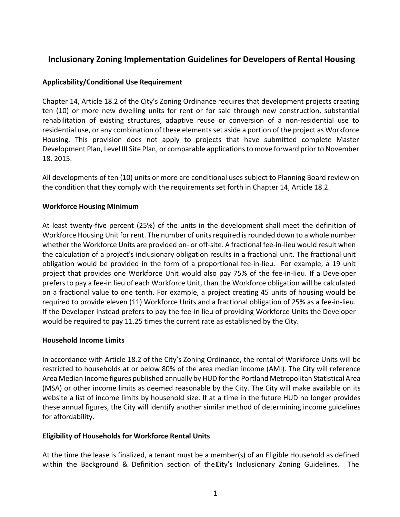# **Inclusionary Zoning Implementation Guidelines for Developers of Rental Housing**

### **Applicability/Conditional Use Requirement**

Chapter 14, Article 18.2 of the City's Zoning Ordinance requires that development projects creating ten (10) or more new dwelling units for rent or for sale through new construction, substantial rehabilitation of existing structures, adaptive reuse or conversion of a non-residential use to residential use, or any combination of these elements set aside a portion of the project as Workforce Housing. This provision does not apply to projects that have submitted complete Master Development Plan, Level III Site Plan, or comparable applications to move forward prior to November 18, 2015.

All developments of ten (10) units or more are conditional uses subject to Planning Board review on the condition that they comply with the requirements set forth in Chapter 14, Article 18.2.

### **Workforce Housing Minimum**

At least twenty-five percent (25%) of the units in the development shall meet the definition of Workforce Housing Unit for rent. The number of units required is rounded down to a whole number whether the Workforce Units are provided on- or off-site. A fractional fee-in-lieu would result when the calculation of a project's inclusionary obligation results in a fractional unit. The fractional unit obligation would be provided in the form of a proportional fee-in-lieu. For example, a 19 unit project that provides one Workforce Unit would also pay 75% of the fee-in-lieu. If a Developer prefers to pay a fee-in lieu of each Workforce Unit, than the Workforce obligation will be calculated on a fractional value to one tenth. For example, a project creating 45 units of housing would be required to provide eleven (11) Workforce Units and a fractional obligation of 25% as a fee-in-lieu. If the Developer instead prefers to pay the fee-in lieu of providing Workforce Units the Developer would be required to pay 11.25 times the current rate as established by the City.

#### **Household Income Limits**

In accordance with Article 18.2 of the City's Zoning Ordinance, the rental of Workforce Units will be restricted to households at or below 80% of the area median income (AMI). The City will reference Area Median Income figures published annually by HUD for the Portland Metropolitan Statistical Area (MSA) or other income limits as deemed reasonable by the City. The City will make available on its website a list of income limits by household size. If at a time in the future HUD no longer provides these annual figures, the City will identify another similar method of determining income guidelines for affordability.

#### **Eligibility of Households for Workforce Rental Units**

At the time the lease is finalized, a tenant must be a member(s) of an Eligible Household as defined within the Background & Definition section of the  $\mathbf{C}$ ity's Inclusionary Zoning Guidelines. The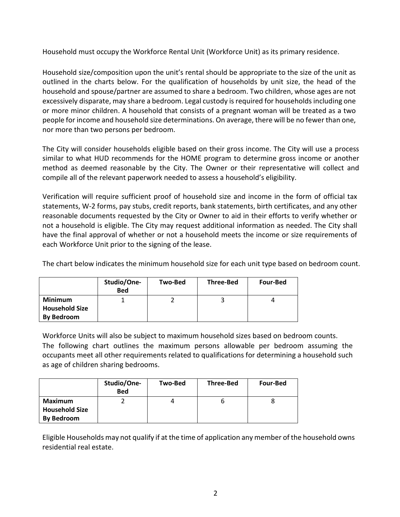Household must occupy the Workforce Rental Unit (Workforce Unit) as its primary residence.

Household size/composition upon the unit's rental should be appropriate to the size of the unit as outlined in the charts below. For the qualification of households by unit size, the head of the household and spouse/partner are assumed to share a bedroom. Two children, whose ages are not excessively disparate, may share a bedroom. Legal custody is required for households including one or more minor children. A household that consists of a pregnant woman will be treated as a two people for income and household size determinations. On average, there will be no fewer than one, nor more than two persons per bedroom.

The City will consider households eligible based on their gross income. The City will use a process similar to what HUD recommends for the HOME program to determine gross income or another method as deemed reasonable by the City. The Owner or their representative will collect and compile all of the relevant paperwork needed to assess a household's eligibility.

Verification will require sufficient proof of household size and income in the form of official tax statements, W-2 forms, pay stubs, credit reports, bank statements, birth certificates, and any other reasonable documents requested by the City or Owner to aid in their efforts to verify whether or not a household is eligible. The City may request additional information as needed. The City shall have the final approval of whether or not a household meets the income or size requirements of each Workforce Unit prior to the signing of the lease.

The chart below indicates the minimum household size for each unit type based on bedroom count.

|                                                              | Studio/One-<br><b>Bed</b> | Two-Bed | <b>Three-Bed</b> | <b>Four-Bed</b> |
|--------------------------------------------------------------|---------------------------|---------|------------------|-----------------|
| <b>Minimum</b><br><b>Household Size</b><br><b>By Bedroom</b> |                           |         |                  | д               |

Workforce Units will also be subject to maximum household sizes based on bedroom counts. The following chart outlines the maximum persons allowable per bedroom assuming the occupants meet all other requirements related to qualifications for determining a household such as age of children sharing bedrooms.

|                       | Studio/One-<br><b>Bed</b> | Two-Bed | <b>Three-Bed</b> | <b>Four-Bed</b> |
|-----------------------|---------------------------|---------|------------------|-----------------|
| Maximum               |                           |         |                  |                 |
| <b>Household Size</b> |                           |         |                  |                 |
| <b>By Bedroom</b>     |                           |         |                  |                 |

Eligible Households may not qualify if at the time of application any member of the household owns residential real estate.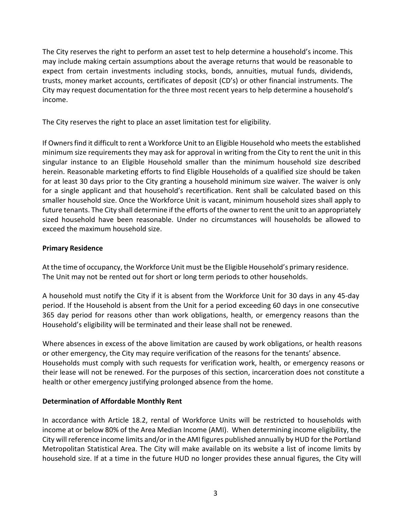The City reserves the right to perform an asset test to help determine a household's income. This may include making certain assumptions about the average returns that would be reasonable to expect from certain investments including stocks, bonds, annuities, mutual funds, dividends, trusts, money market accounts, certificates of deposit (CD's) or other financial instruments. The City may request documentation for the three most recent years to help determine a household's income.

The City reserves the right to place an asset limitation test for eligibility.

If Owners find it difficult to rent a Workforce Unit to an Eligible Household who meets the established minimum size requirements they may ask for approval in writing from the City to rent the unit in this singular instance to an Eligible Household smaller than the minimum household size described herein. Reasonable marketing efforts to find Eligible Households of a qualified size should be taken for at least 30 days prior to the City granting a household minimum size waiver. The waiver is only for a single applicant and that household's recertification. Rent shall be calculated based on this smaller household size. Once the Workforce Unit is vacant, minimum household sizes shall apply to future tenants. The City shall determine if the efforts of the owner to rent the unit to an appropriately sized household have been reasonable. Under no circumstances will households be allowed to exceed the maximum household size.

## **Primary Residence**

At the time of occupancy, the Workforce Unit must be the Eligible Household's primary residence. The Unit may not be rented out for short or long term periods to other households.

A household must notify the City if it is absent from the Workforce Unit for 30 days in any 45-day period. If the Household is absent from the Unit for a period exceeding 60 days in one consecutive 365 day period for reasons other than work obligations, health, or emergency reasons than the Household's eligibility will be terminated and their lease shall not be renewed.

Where absences in excess of the above limitation are caused by work obligations, or health reasons or other emergency, the City may require verification of the reasons for the tenants' absence. Households must comply with such requests for verification work, health, or emergency reasons or their lease will not be renewed. For the purposes of this section, incarceration does not constitute a health or other emergency justifying prolonged absence from the home.

## **Determination of Affordable Monthly Rent**

In accordance with Article 18.2, rental of Workforce Units will be restricted to households with income at or below 80% of the Area Median Income (AMI). When determining income eligibility, the City will reference income limits and/or in the AMI figures published annually by HUD for the Portland Metropolitan Statistical Area. The City will make available on its website a list of income limits by household size. If at a time in the future HUD no longer provides these annual figures, the City will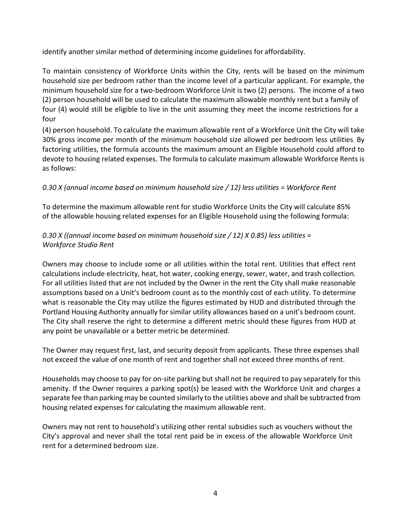identify another similar method of determining income guidelines for affordability.

To maintain consistency of Workforce Units within the City, rents will be based on the minimum household size per bedroom rather than the income level of a particular applicant. For example, the minimum household size for a two-bedroom Workforce Unit is two (2) persons. The income of a two (2) person household will be used to calculate the maximum allowable monthly rent but a family of four (4) would still be eligible to live in the unit assuming they meet the income restrictions for a four

(4) person household. To calculate the maximum allowable rent of a Workforce Unit the City will take 30% gross income per month of the minimum household size allowed per bedroom less utilities. By factoring utilities, the formula accounts the maximum amount an Eligible Household could afford to devote to housing related expenses. The formula to calculate maximum allowable Workforce Rents is as follows:

# *0.30 X (annual income based on minimum household size / 12) less utilities = Workforce Rent*

To determine the maximum allowable rent for studio Workforce Units the City will calculate 85% of the allowable housing related expenses for an Eligible Household using the following formula:

# *0.30 X ((annual income based on minimum household size / 12) X 0.85) less utilities = Workforce Studio Rent*

Owners may choose to include some or all utilities within the total rent. Utilities that effect rent calculations include electricity, heat, hot water, cooking energy, sewer, water, and trash collection. For all utilities listed that are not included by the Owner in the rent the City shall make reasonable assumptions based on a Unit's bedroom count as to the monthly cost of each utility. To determine what is reasonable the City may utilize the figures estimated by HUD and distributed through the Portland Housing Authority annually for similar utility allowances based on a unit's bedroom count. The City shall reserve the right to determine a different metric should these figures from HUD at any point be unavailable or a better metric be determined.

The Owner may request first, last, and security deposit from applicants. These three expenses shall not exceed the value of one month of rent and together shall not exceed three months of rent.

Households may choose to pay for on-site parking but shall not be required to pay separately for this amenity. If the Owner requires a parking spot(s) be leased with the Workforce Unit and charges a separate fee than parking may be counted similarly to the utilities above and shall be subtracted from housing related expenses for calculating the maximum allowable rent.

Owners may not rent to household's utilizing other rental subsidies such as vouchers without the City's approval and never shall the total rent paid be in excess of the allowable Workforce Unit rent for a determined bedroom size.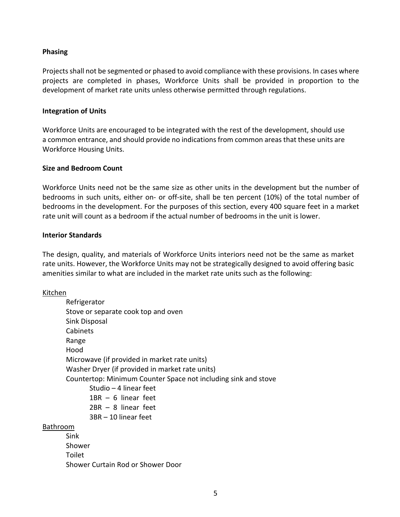### **Phasing**

Projects shall not be segmented or phased to avoid compliance with these provisions. In cases where projects are completed in phases, Workforce Units shall be provided in proportion to the development of market rate units unless otherwise permitted through regulations.

#### **Integration of Units**

Workforce Units are encouraged to be integrated with the rest of the development, should use a common entrance, and should provide no indications from common areas that these units are Workforce Housing Units.

#### **Size and Bedroom Count**

Workforce Units need not be the same size as other units in the development but the number of bedrooms in such units, either on- or off-site, shall be ten percent (10%) of the total number of bedrooms in the development. For the purposes of this section, every 400 square feet in a market rate unit will count as a bedroom if the actual number of bedrooms in the unit is lower.

#### **Interior Standards**

The design, quality, and materials of Workforce Units interiors need not be the same as market rate units. However, the Workforce Units may not be strategically designed to avoid offering basic amenities similar to what are included in the market rate units such as the following:

#### Kitchen

| Refrigerator                                                   |
|----------------------------------------------------------------|
| Stove or separate cook top and oven                            |
| Sink Disposal                                                  |
| Cabinets                                                       |
| Range                                                          |
| Hood                                                           |
| Microwave (if provided in market rate units)                   |
| Washer Dryer (if provided in market rate units)                |
| Countertop: Minimum Counter Space not including sink and stove |
| Studio - 4 linear feet                                         |
| $1BR - 6$ linear feet                                          |
| $2BR - 8$ linear feet                                          |
| 3BR - 10 linear feet                                           |
| <b>Bathroom</b>                                                |
| Sink                                                           |
| Shower                                                         |
| Toilet                                                         |
| Shower Curtain Rod or Shower Door                              |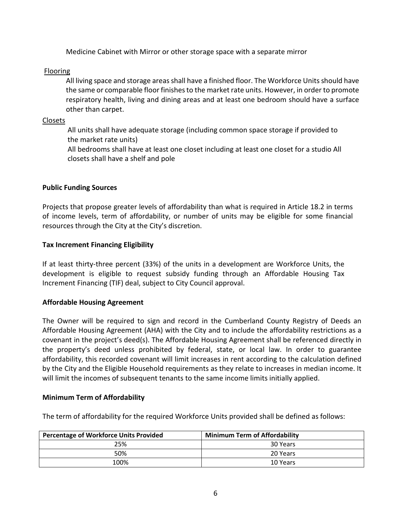Medicine Cabinet with Mirror or other storage space with a separate mirror

Flooring

All living space and storage areas shall have a finished floor. The Workforce Units should have the same or comparable floor finishes to the market rate units. However, in order to promote respiratory health, living and dining areas and at least one bedroom should have a surface other than carpet.

Closets

All units shall have adequate storage (including common space storage if provided to the market rate units)

All bedrooms shall have at least one closet including at least one closet for a studio All closets shall have a shelf and pole

### **Public Funding Sources**

Projects that propose greater levels of affordability than what is required in Article 18.2 in terms of income levels, term of affordability, or number of units may be eligible for some financial resources through the City at the City's discretion.

### **Tax Increment Financing Eligibility**

If at least thirty-three percent (33%) of the units in a development are Workforce Units, the development is eligible to request subsidy funding through an Affordable Housing Tax Increment Financing (TIF) deal, subject to City Council approval.

## **Affordable Housing Agreement**

The Owner will be required to sign and record in the Cumberland County Registry of Deeds an Affordable Housing Agreement (AHA) with the City and to include the affordability restrictions as a covenant in the project's deed(s). The Affordable Housing Agreement shall be referenced directly in the property's deed unless prohibited by federal, state, or local law. In order to guarantee affordability, this recorded covenant will limit increases in rent according to the calculation defined by the City and the Eligible Household requirements as they relate to increases in median income. It will limit the incomes of subsequent tenants to the same income limits initially applied.

#### **Minimum Term of Affordability**

The term of affordability for the required Workforce Units provided shall be defined as follows:

| <b>Percentage of Workforce Units Provided</b> | <b>Minimum Term of Affordability</b> |
|-----------------------------------------------|--------------------------------------|
| 25%                                           | 30 Years                             |
| 50%                                           | 20 Years                             |
| 100%                                          | 10 Years                             |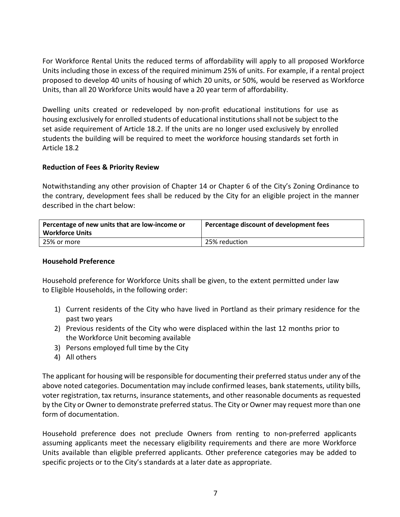For Workforce Rental Units the reduced terms of affordability will apply to all proposed Workforce Units including those in excess of the required minimum 25% of units. For example, if a rental project proposed to develop 40 units of housing of which 20 units, or 50%, would be reserved as Workforce Units, than all 20 Workforce Units would have a 20 year term of affordability.

Dwelling units created or redeveloped by non-profit educational institutions for use as housing exclusively for enrolled students of educational institutions shall not be subject to the set aside requirement of Article 18.2. If the units are no longer used exclusively by enrolled students the building will be required to meet the workforce housing standards set forth in Article 18.2

### **Reduction of Fees & Priority Review**

Notwithstanding any other provision of Chapter 14 or Chapter 6 of the City's Zoning Ordinance to the contrary, development fees shall be reduced by the City for an eligible project in the manner described in the chart below:

| Percentage of new units that are low-income or<br><b>Workforce Units</b> | Percentage discount of development fees |
|--------------------------------------------------------------------------|-----------------------------------------|
| 25% or more                                                              | 25% reduction                           |

#### **Household Preference**

Household preference for Workforce Units shall be given, to the extent permitted under law to Eligible Households, in the following order:

- 1) Current residents of the City who have lived in Portland as their primary residence for the past two years
- 2) Previous residents of the City who were displaced within the last 12 months prior to the Workforce Unit becoming available
- 3) Persons employed full time by the City
- 4) All others

The applicant for housing will be responsible for documenting their preferred status under any of the above noted categories. Documentation may include confirmed leases, bank statements, utility bills, voter registration, tax returns, insurance statements, and other reasonable documents as requested by the City or Owner to demonstrate preferred status. The City or Owner may request more than one form of documentation.

Household preference does not preclude Owners from renting to non-preferred applicants assuming applicants meet the necessary eligibility requirements and there are more Workforce Units available than eligible preferred applicants. Other preference categories may be added to specific projects or to the City's standards at a later date as appropriate.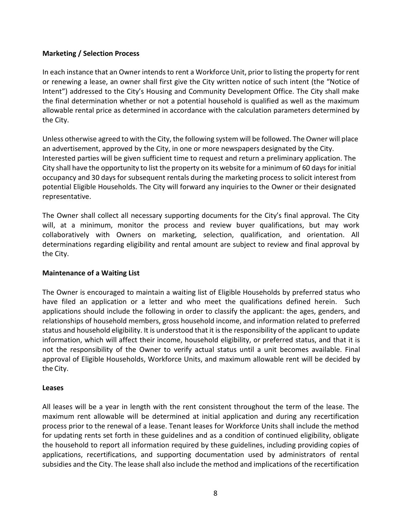## **Marketing / Selection Process**

In each instance that an Owner intends to rent a Workforce Unit, prior to listing the property for rent or renewing a lease, an owner shall first give the City written notice of such intent (the "Notice of Intent") addressed to the City's Housing and Community Development Office. The City shall make the final determination whether or not a potential household is qualified as well as the maximum allowable rental price as determined in accordance with the calculation parameters determined by the City.

Unless otherwise agreed to with the City, the following system will be followed. The Owner will place an advertisement, approved by the City, in one or more newspapers designated by the City. Interested parties will be given sufficient time to request and return a preliminary application. The City shall have the opportunity to list the property on its website for a minimum of 60 days for initial occupancy and 30 days for subsequent rentals during the marketing process to solicit interest from potential Eligible Households. The City will forward any inquiries to the Owner or their designated representative.

The Owner shall collect all necessary supporting documents for the City's final approval. The City will, at a minimum, monitor the process and review buyer qualifications, but may work collaboratively with Owners on marketing, selection, qualification, and orientation. All determinations regarding eligibility and rental amount are subject to review and final approval by the City.

#### **Maintenance of a Waiting List**

The Owner is encouraged to maintain a waiting list of Eligible Households by preferred status who have filed an application or a letter and who meet the qualifications defined herein. Such applications should include the following in order to classify the applicant: the ages, genders, and relationships of household members, gross household income, and information related to preferred status and household eligibility. It is understood that it is the responsibility of the applicant to update information, which will affect their income, household eligibility, or preferred status, and that it is not the responsibility of the Owner to verify actual status until a unit becomes available. Final approval of Eligible Households, Workforce Units, and maximum allowable rent will be decided by the City.

#### **Leases**

All leases will be a year in length with the rent consistent throughout the term of the lease. The maximum rent allowable will be determined at initial application and during any recertification process prior to the renewal of a lease. Tenant leases for Workforce Units shall include the method for updating rents set forth in these guidelines and as a condition of continued eligibility, obligate the household to report all information required by these guidelines, including providing copies of applications, recertifications, and supporting documentation used by administrators of rental subsidies and the City. The lease shall also include the method and implications of the recertification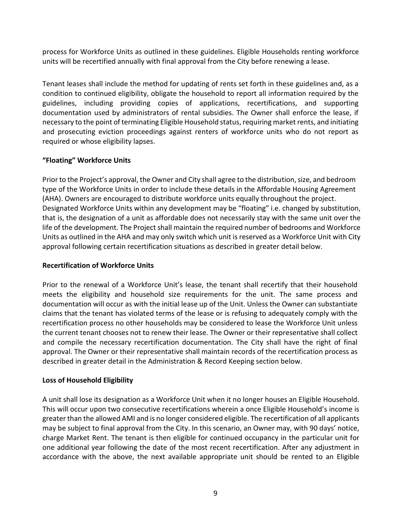process for Workforce Units as outlined in these guidelines. Eligible Households renting workforce units will be recertified annually with final approval from the City before renewing a lease.

Tenant leases shall include the method for updating of rents set forth in these guidelines and, as a condition to continued eligibility, obligate the household to report all information required by the guidelines, including providing copies of applications, recertifications, and supporting documentation used by administrators of rental subsidies. The Owner shall enforce the lease, if necessary to the point of terminating Eligible Household status, requiring market rents, and initiating and prosecuting eviction proceedings against renters of workforce units who do not report as required or whose eligibility lapses.

## **"Floating" Workforce Units**

Prior to the Project's approval, the Owner and City shall agree to the distribution, size, and bedroom type of the Workforce Units in order to include these details in the Affordable Housing Agreement (AHA). Owners are encouraged to distribute workforce units equally throughout the project. Designated Workforce Units within any development may be "floating" i.e. changed by substitution, that is, the designation of a unit as affordable does not necessarily stay with the same unit over the life of the development. The Project shall maintain the required number of bedrooms and Workforce Units as outlined in the AHA and may only switch which unit is reserved as a Workforce Unit with City approval following certain recertification situations as described in greater detail below.

## **Recertification of Workforce Units**

Prior to the renewal of a Workforce Unit's lease, the tenant shall recertify that their household meets the eligibility and household size requirements for the unit. The same process and documentation will occur as with the initial lease up of the Unit. Unless the Owner can substantiate claims that the tenant has violated terms of the lease or is refusing to adequately comply with the recertification process no other households may be considered to lease the Workforce Unit unless the current tenant chooses not to renew their lease. The Owner or their representative shall collect and compile the necessary recertification documentation. The City shall have the right of final approval. The Owner or their representative shall maintain records of the recertification process as described in greater detail in the Administration & Record Keeping section below.

# **Loss of Household Eligibility**

A unit shall lose its designation as a Workforce Unit when it no longer houses an Eligible Household. This will occur upon two consecutive recertifications wherein a once Eligible Household's income is greater than the allowed AMI and is no longer considered eligible. The recertification of all applicants may be subject to final approval from the City. In this scenario, an Owner may, with 90 days' notice, charge Market Rent. The tenant is then eligible for continued occupancy in the particular unit for one additional year following the date of the most recent recertification. After any adjustment in accordance with the above, the next available appropriate unit should be rented to an Eligible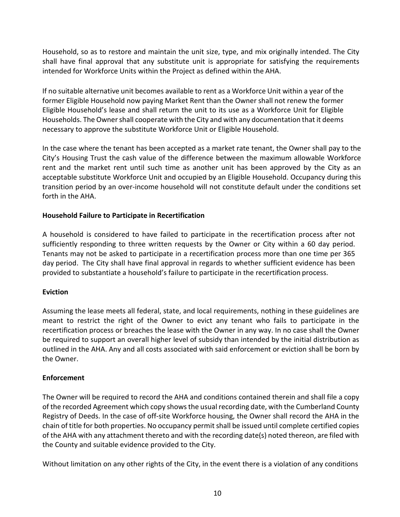Household, so as to restore and maintain the unit size, type, and mix originally intended. The City shall have final approval that any substitute unit is appropriate for satisfying the requirements intended for Workforce Units within the Project as defined within the AHA.

If no suitable alternative unit becomes available to rent as a Workforce Unit within a year of the former Eligible Household now paying Market Rent than the Owner shall not renew the former Eligible Household's lease and shall return the unit to its use as a Workforce Unit for Eligible Households. The Owner shall cooperate with the City and with any documentation that it deems necessary to approve the substitute Workforce Unit or Eligible Household.

In the case where the tenant has been accepted as a market rate tenant, the Owner shall pay to the City's Housing Trust the cash value of the difference between the maximum allowable Workforce rent and the market rent until such time as another unit has been approved by the City as an acceptable substitute Workforce Unit and occupied by an Eligible Household. Occupancy during this transition period by an over-income household will not constitute default under the conditions set forth in the AHA.

## **Household Failure to Participate in Recertification**

A household is considered to have failed to participate in the recertification process after not sufficiently responding to three written requests by the Owner or City within a 60 day period. Tenants may not be asked to participate in a recertification process more than one time per 365 day period. The City shall have final approval in regards to whether sufficient evidence has been provided to substantiate a household's failure to participate in the recertification process.

#### **Eviction**

Assuming the lease meets all federal, state, and local requirements, nothing in these guidelines are meant to restrict the right of the Owner to evict any tenant who fails to participate in the recertification process or breaches the lease with the Owner in any way. In no case shall the Owner be required to support an overall higher level of subsidy than intended by the initial distribution as outlined in the AHA. Any and all costs associated with said enforcement or eviction shall be born by the Owner.

#### **Enforcement**

The Owner will be required to record the AHA and conditions contained therein and shall file a copy of the recorded Agreement which copy shows the usual recording date, with the Cumberland County Registry of Deeds. In the case of off-site Workforce housing, the Owner shall record the AHA in the chain of title for both properties. No occupancy permit shall be issued until complete certified copies of the AHA with any attachment thereto and with the recording date(s) noted thereon, are filed with the County and suitable evidence provided to the City.

Without limitation on any other rights of the City, in the event there is a violation of any conditions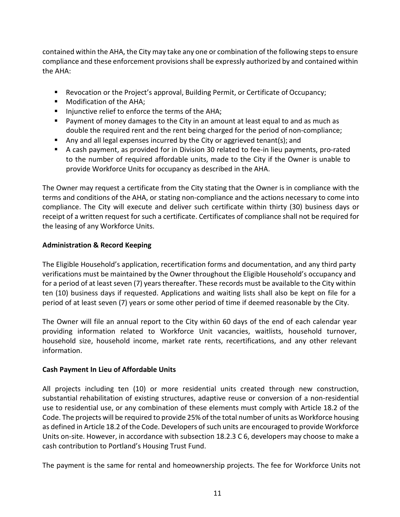contained within the AHA, the City may take any one or combination of the following steps to ensure compliance and these enforcement provisions shall be expressly authorized by and contained within the AHA:

- **Revocation or the Project's approval, Building Permit, or Certificate of Occupancy;**
- **Modification of the AHA;**
- **IF Injunctive relief to enforce the terms of the AHA;**
- Payment of money damages to the City in an amount at least equal to and as much as double the required rent and the rent being charged for the period of non-compliance;
- Any and all legal expenses incurred by the City or aggrieved tenant(s); and
- A cash payment, as provided for in Division 30 related to fee-in lieu payments, pro-rated to the number of required affordable units, made to the City if the Owner is unable to provide Workforce Units for occupancy as described in the AHA.

The Owner may request a certificate from the City stating that the Owner is in compliance with the terms and conditions of the AHA, or stating non-compliance and the actions necessary to come into compliance. The City will execute and deliver such certificate within thirty (30) business days or receipt of a written request for such a certificate. Certificates of compliance shall not be required for the leasing of any Workforce Units.

## **Administration & Record Keeping**

The Eligible Household's application, recertification forms and documentation, and any third party verifications must be maintained by the Owner throughout the Eligible Household's occupancy and for a period of at least seven (7) years thereafter. These records must be available to the City within ten (10) business days if requested. Applications and waiting lists shall also be kept on file for a period of at least seven (7) years or some other period of time if deemed reasonable by the City.

The Owner will file an annual report to the City within 60 days of the end of each calendar year providing information related to Workforce Unit vacancies, waitlists, household turnover, household size, household income, market rate rents, recertifications, and any other relevant information.

## **Cash Payment In Lieu of Affordable Units**

All projects including ten (10) or more residential units created through new construction, substantial rehabilitation of existing structures, adaptive reuse or conversion of a non-residential use to residential use, or any combination of these elements must comply with Article 18.2 of the Code. The projects will be required to provide 25% of the total number of units as Workforce housing as defined in Article 18.2 of the Code. Developers of such units are encouraged to provide Workforce Units on-site. However, in accordance with subsection 18.2.3 C 6, developers may choose to make a cash contribution to Portland's Housing Trust Fund.

The payment is the same for rental and homeownership projects. The fee for Workforce Units not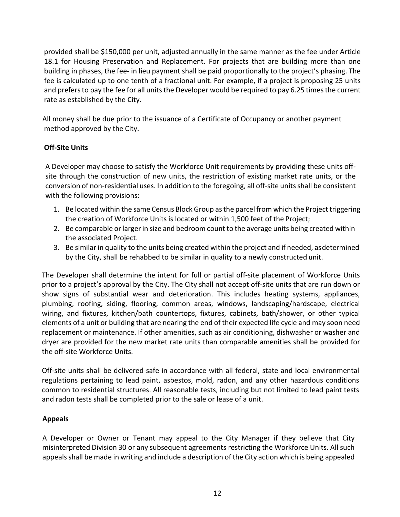provided shall be \$150,000 per unit, adjusted annually in the same manner as the fee under Article 18.1 for Housing Preservation and Replacement. For projects that are building more than one building in phases, the fee- in lieu payment shall be paid proportionally to the project's phasing. The fee is calculated up to one tenth of a fractional unit. For example, if a project is proposing 25 units and prefers to pay the fee for all units the Developer would be required to pay 6.25 times the current rate as established by the City.

All money shall be due prior to the issuance of a Certificate of Occupancy or another payment method approved by the City.

# **Off-Site Units**

A Developer may choose to satisfy the Workforce Unit requirements by providing these units offsite through the construction of new units, the restriction of existing market rate units, or the conversion of non-residential uses. In addition to the foregoing, all off-site units shall be consistent with the following provisions:

- 1. Be located within the same Census Block Group as the parcel from which the Project triggering the creation of Workforce Units is located or within 1,500 feet of the Project;
- 2. Be comparable or larger in size and bedroom count to the average units being created within the associated Project.
- 3. Be similar in quality to the units being created within the project and if needed, asdetermined by the City, shall be rehabbed to be similar in quality to a newly constructed unit.

The Developer shall determine the intent for full or partial off-site placement of Workforce Units prior to a project's approval by the City. The City shall not accept off-site units that are run down or show signs of substantial wear and deterioration. This includes heating systems, appliances, plumbing, roofing, siding, flooring, common areas, windows, landscaping/hardscape, electrical wiring, and fixtures, kitchen/bath countertops, fixtures, cabinets, bath/shower, or other typical elements of a unit or building that are nearing the end of their expected life cycle and may soon need replacement or maintenance. If other amenities, such as air conditioning, dishwasher or washer and dryer are provided for the new market rate units than comparable amenities shall be provided for the off-site Workforce Units.

Off-site units shall be delivered safe in accordance with all federal, state and local environmental regulations pertaining to lead paint, asbestos, mold, radon, and any other hazardous conditions common to residential structures. All reasonable tests, including but not limited to lead paint tests and radon tests shall be completed prior to the sale or lease of a unit.

## **Appeals**

A Developer or Owner or Tenant may appeal to the City Manager if they believe that City misinterpreted Division 30 or any subsequent agreements restricting the Workforce Units. All such appeals shall be made in writing and include a description of the City action which is being appealed